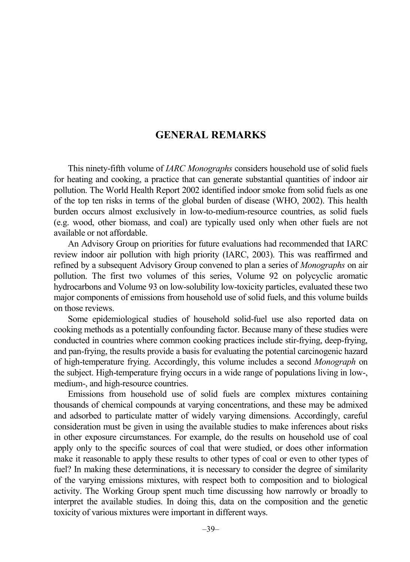## **GENERAL REMARKS**

This ninety-fifth volume of *IARC Monographs* considers household use of solid fuels for heating and cooking, a practice that can generate substantial quantities of indoor air pollution. The World Health Report 2002 identified indoor smoke from solid fuels as one of the top ten risks in terms of the global burden of disease (WHO, 2002). This health burden occurs almost exclusively in low-to-medium-resource countries, as solid fuels (e.g. wood, other biomass, and coal) are typically used only when other fuels are not available or not affordable.

An Advisory Group on priorities for future evaluations had recommended that IARC review indoor air pollution with high priority (IARC, 2003). This was reaffirmed and refined by a subsequent Advisory Group convened to plan a series of *Monographs* on air pollution. The first two volumes of this series, Volume 92 on polycyclic aromatic hydrocarbons and Volume 93 on low-solubility low-toxicity particles, evaluated these two major components of emissions from household use of solid fuels, and this volume builds on those reviews.

Some epidemiological studies of household solid-fuel use also reported data on cooking methods as a potentially confounding factor. Because many of these studies were conducted in countries where common cooking practices include stir-frying, deep-frying, and pan-frying, the results provide a basis for evaluating the potential carcinogenic hazard of high-temperature frying. Accordingly, this volume includes a second *Monograph* on the subject. High-temperature frying occurs in a wide range of populations living in low-, medium-, and high-resource countries.

Emissions from household use of solid fuels are complex mixtures containing thousands of chemical compounds at varying concentrations, and these may be admixed and adsorbed to particulate matter of widely varying dimensions. Accordingly, careful consideration must be given in using the available studies to make inferences about risks in other exposure circumstances. For example, do the results on household use of coal apply only to the specific sources of coal that were studied, or does other information make it reasonable to apply these results to other types of coal or even to other types of fuel? In making these determinations, it is necessary to consider the degree of similarity of the varying emissions mixtures, with respect both to composition and to biological activity. The Working Group spent much time discussing how narrowly or broadly to interpret the available studies. In doing this, data on the composition and the genetic toxicity of various mixtures were important in different ways.